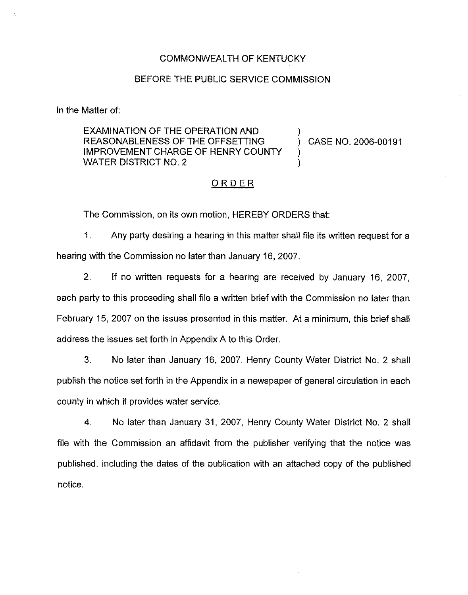# COMMONWEALTH OF KENTUCKY

### BEFORE THE PUBLIC SERVICE COMMISSION

In the Matter of:

EXAMINATION OF THE OPERATION AND REASONABLENESS OF THE OFFSETTING IMPROVEMENT CHARGE OF HENRY COUNTY WATER DISTRICT NO. 2

) CASE NO. 2006-00191

)

) )

# ORDER

The Commission, on its own motion, HEREBY ORDERS that:

1. Any party desiring a hearing in this matter shall file its written request for a hearing with the Commission no later than January 16, 2007.

2. If no written requests for a hearing are received by January 16, 2007, each party to this proceeding shall file a written brief with the Commission no later than February 15, 2007 on the issues presented in this matter. At a minimum, this brief shall address the issues set forth in Appendix A to this Order,

3. No later than January 16, 2007, Henry County Water District No. 2 shall pubiish the notice set forth in the Appendix in a newspaper of general circulation in each county in which it provides water service.

4. No later than January 31, 2007, Henry County Water District No. 2 shall file with the Commission an affidavit from the publisher verifying that the notice was published, including the dates of the publication with an attached copy of the published notice.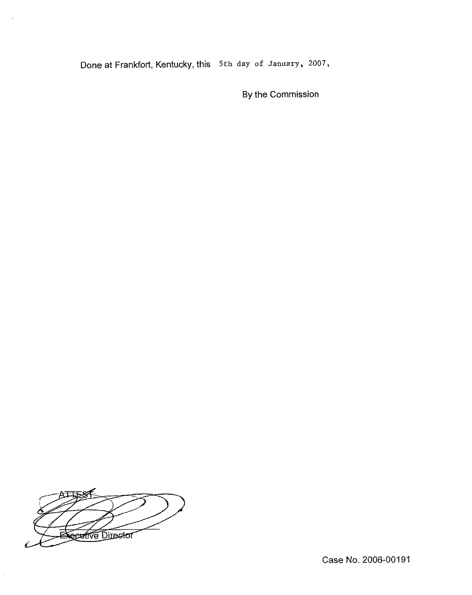Done at Frankfort, Kentucky, this 5th day of January, 2007,

By the Commission

**Ceative Director** 

 $\bar{z}$ 

Case No. 2006-00191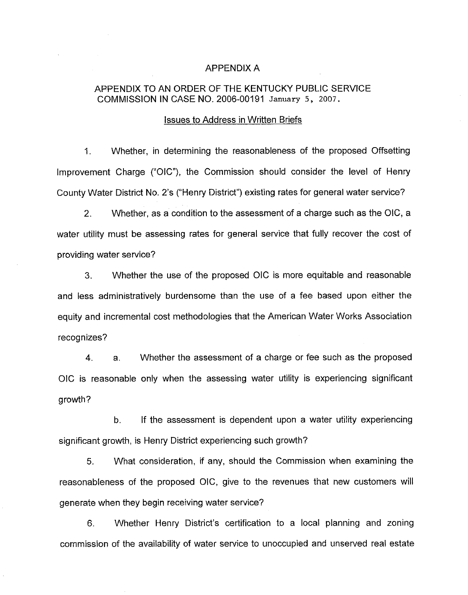#### APPENDIX A

# APPENDIX TO AN ORDER OF THE KENTUCKY PUBLIC SERVICE COMMISSION IN CASE NO, 2006-00191 January 5, 2007.

### Issues to Address in Written Briefs

1. Whether, in determining the reasonableness of the proposed Offsetting improvement Charge ("OIC"), the Commission should consider the level of Henry County Water District No. 2's ("Henry District" ) existing rates for general water service?

2. Whether, as a condition to the assessment of a charge such as the OIC, a water utility must be assessing rates for general service that fully recover the cost of providing water service?

3. Whether the use of the proposed OIC is more equitable and reasonable and less administratively burdensome than the use of a fee based upon either the equity and incremental cost methodologies that the American Water Works Association recognizes?

4. a. Whether the assessment of a charge or fee such as the proposed OIC is reasonable only when the assessing water utility is experiencing significant growth?

b. If the assessment is dependent upon a water utility experiencing significant growth, is Henry District experiencing such growth?

5. What consideration, if any, should the Commission when examining the reasonableness of the proposed OIC, give to the revenues that new customers will generate when they begin receiving water service?

6. Whether Henry District's certification to a local planning and zoning commission of the availability of water service to unoccupied and unserved real estate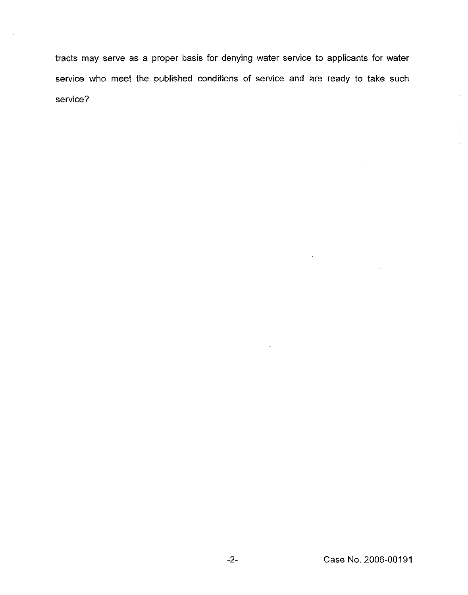tracts may serve as a proper basis for denying water service to applicants for water service who meet the published conditions of service and are ready to take such service?  $\sim 1$ 

 $\hat{\boldsymbol{\theta}}$